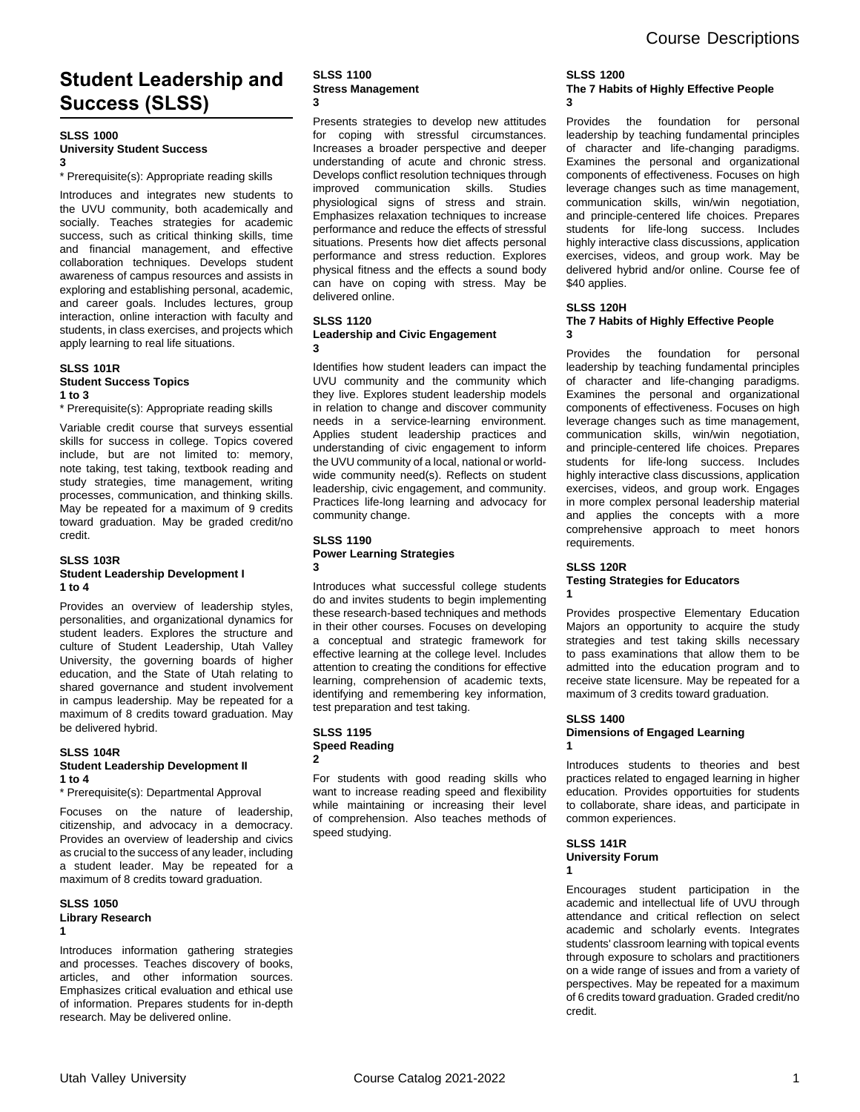# **Student Leadership and Success (SLSS)**

#### **SLSS 1000 University Student Success 3**

\* Prerequisite(s): Appropriate reading skills

Introduces and integrates new students to the UVU community, both academically and socially. Teaches strategies for academic success, such as critical thinking skills, time and financial management, and effective collaboration techniques. Develops student awareness of campus resources and assists in exploring and establishing personal, academic, and career goals. Includes lectures, group interaction, online interaction with faculty and students, in class exercises, and projects which apply learning to real life situations.

#### **SLSS 101R Student Success Topics 1 to 3**

\* Prerequisite(s): Appropriate reading skills

Variable credit course that surveys essential skills for success in college. Topics covered include, but are not limited to: memory, note taking, test taking, textbook reading and study strategies, time management, writing processes, communication, and thinking skills. May be repeated for a maximum of 9 credits toward graduation. May be graded credit/no credit.

### **SLSS 103R Student Leadership Development I 1 to 4**

Provides an overview of leadership styles, personalities, and organizational dynamics for student leaders. Explores the structure and culture of Student Leadership, Utah Valley University, the governing boards of higher education, and the State of Utah relating to shared governance and student involvement in campus leadership. May be repeated for a maximum of 8 credits toward graduation. May be delivered hybrid.

## **SLSS 104R**

## **Student Leadership Development II 1 to 4**

\* Prerequisite(s): Departmental Approval

Focuses on the nature of leadership, citizenship, and advocacy in a democracy. Provides an overview of leadership and civics as crucial to the success of any leader, including a student leader. May be repeated for a maximum of 8 credits toward graduation.

#### **SLSS 1050 Library Research 1**

Introduces information gathering strategies and processes. Teaches discovery of books, articles, and other information sources. Emphasizes critical evaluation and ethical use of information. Prepares students for in-depth research. May be delivered online.

## **SLSS 1100 Stress Management 3**

Presents strategies to develop new attitudes for coping with stressful circumstances. Increases a broader perspective and deeper understanding of acute and chronic stress. Develops conflict resolution techniques through improved communication skills. Studies physiological signs of stress and strain. Emphasizes relaxation techniques to increase performance and reduce the effects of stressful situations. Presents how diet affects personal performance and stress reduction. Explores physical fitness and the effects a sound body can have on coping with stress. May be delivered online.

#### **SLSS 1120 Leadership and Civic Engagement 3**

Identifies how student leaders can impact the UVU community and the community which they live. Explores student leadership models in relation to change and discover community needs in a service-learning environment. Applies student leadership practices and understanding of civic engagement to inform the UVU community of a local, national or worldwide community need(s). Reflects on student leadership, civic engagement, and community. Practices life-long learning and advocacy for community change.

#### **SLSS 1190 Power Learning Strategies 3**

Introduces what successful college students do and invites students to begin implementing these research-based techniques and methods in their other courses. Focuses on developing a conceptual and strategic framework for effective learning at the college level. Includes attention to creating the conditions for effective learning, comprehension of academic texts, identifying and remembering key information, test preparation and test taking.

#### **SLSS 1195 Speed Reading 2**

For students with good reading skills who want to increase reading speed and flexibility while maintaining or increasing their level of comprehension. Also teaches methods of speed studying.

### **SLSS 1200 The 7 Habits of Highly Effective People 3**

Provides the foundation for personal leadership by teaching fundamental principles of character and life-changing paradigms. Examines the personal and organizational components of effectiveness. Focuses on high leverage changes such as time management, communication skills, win/win negotiation, and principle-centered life choices. Prepares students for life-long success. Includes highly interactive class discussions, application exercises, videos, and group work. May be delivered hybrid and/or online. Course fee of \$40 applies.

## **SLSS 120H**

#### **The 7 Habits of Highly Effective People 3**

Provides the foundation for personal leadership by teaching fundamental principles of character and life-changing paradigms. Examines the personal and organizational components of effectiveness. Focuses on high leverage changes such as time management, communication skills, win/win negotiation, and principle-centered life choices. Prepares students for life-long success. Includes highly interactive class discussions, application exercises, videos, and group work. Engages in more complex personal leadership material and applies the concepts with a more comprehensive approach to meet honors requirements.

## **SLSS 120R**

**1**

## **Testing Strategies for Educators**

Provides prospective Elementary Education Majors an opportunity to acquire the study strategies and test taking skills necessary to pass examinations that allow them to be admitted into the education program and to receive state licensure. May be repeated for a maximum of 3 credits toward graduation.

## **SLSS 1400**

#### **Dimensions of Engaged Learning 1**

Introduces students to theories and best practices related to engaged learning in higher education. Provides opportuities for students to collaborate, share ideas, and participate in common experiences.

#### **SLSS 141R University Forum 1**

Encourages student participation in the academic and intellectual life of UVU through attendance and critical reflection on select academic and scholarly events. Integrates students' classroom learning with topical events through exposure to scholars and practitioners on a wide range of issues and from a variety of perspectives. May be repeated for a maximum of 6 credits toward graduation. Graded credit/no credit.